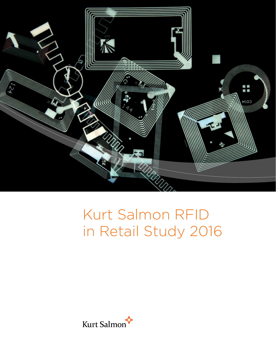

# Kurt Salmon RFID in Retail Study 2016

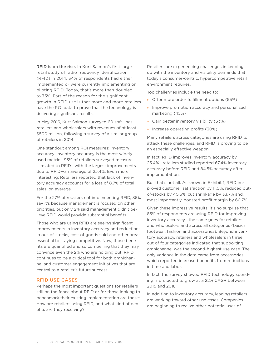RFID is on the rise. In Kurt Salmon's first large retail study of radio frequency identification (RFID) in 2014, 34% of respondents had either implemented or were currently implementing or piloting RFID. Today, that's more than doubled, to 73%. Part of the reason for the significant growth in RFID use is that more and more retailers have the ROI data to prove that the technology is delivering significant results.

In May 2016, Kurt Salmon surveyed 60 soft lines retailers and wholesalers with revenues of at least \$500 million, following a survey of a similar group of retailers in 2014.

One standout among ROI measures: inventory accuracy. Inventory accuracy is the most widely used metric—93% of retailers surveyed measure it related to RFID—with the largest improvements due to RFID—an average of 25.4%. Even more interesting: Retailers reported that lack of inventory accuracy accounts for a loss of 8.7% of total sales, on average.

For the 27% of retailers not implementing RFID, 86% say it's because management is focused on other priorities, but only 2% said management didn't believe RFID would provide substantial benefits.

Those who are using RFID are seeing significant improvements in inventory accuracy and reductions in out-of-stocks, cost of goods sold and other areas essential to staying competitive. Now, those benefits are quantified and so compelling that they may convince even the 2% who are holding out. RFID continues to be a critical tool for both omnichannel and customer engagement initiatives that are central to a retailer's future success.

## RFID USE CASES

Perhaps the most important questions for retailers still on the fence about RFID or for those looking to benchmark their existing implementation are these: How are retailers using RFID, and what kind of benefits are they receiving?

Retailers are experiencing challenges in keeping up with the inventory and visibility demands that today's consumer-centric, hypercompetitive retail environment requires.

Top challenges include the need to:

- » Offer more order fulfillment options (55%)
- » Improve promotion accuracy and personalized marketing (45%)
- » Gain better inventory visibility (33%)
- » Increase operating profits (30%)

Many retailers across categories are using RFID to attack these challenges, and RFID is proving to be an especially effective weapon.

In fact, RFID improves inventory accuracy by 25.4%—retailers studied reported 67.4% inventory accuracy before RFID and 84.5% accuracy after implementation.

But that's not all. As shown in Exhibit 1, RFID improved customer satisfaction by 11.0%, reduced outof-stocks by 40.6%, cut shrinkage by 33.7% and, most importantly, boosted profit margin by 60.7%.

Given these impressive results, it's no surprise that 85% of respondents are using RFID for improving inventory accuracy—the same goes for retailers and wholesalers and across all categories (basics, footwear, fashion and accessories). Beyond inventory accuracy, retailers and wholesalers in three out of four categories indicated that supporting omnichannel was the second-highest use case. The only variance in the data came from accessories, which reported increased benefits from reductions in time and labor.

In fact, the survey showed RFID technology spending is projected to grow at a 22% CAGR between 2015 and 2018.

In addition to inventory accuracy, leading retailers are working toward other use cases. Companies are beginning to realize other potential uses of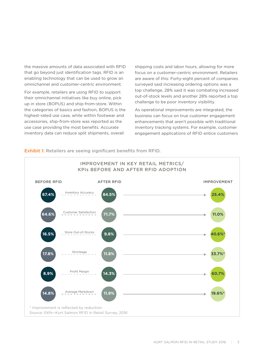the massive amounts of data associated with RFID that go beyond just identification tags. RFID is an enabling technology that can be used to grow an omnichannel and customer-centric environment.

For example, retailers are using RFID to support their omnichannel initiatives like buy online, pick up in store (BOPUS) and ship-from-store. Within the categories of basics and fashion, BOPUS is the highest-rated use case, while within footwear and accessories, ship-from-store was reported as the use case providing the most benefits. Accurate inventory data can reduce split shipments, overall

shipping costs and labor hours, allowing for more focus on a customer-centric environment. Retailers are aware of this: Forty-eight percent of companies surveyed said increasing ordering options was a top challenge, 28% said it was combating increased out-of-stock levels and another 28% reported a top challenge to be poor inventory visibility.

As operational improvements are integrated, the business can focus on true customer engagement enhancements that aren't possible with traditional inventory tracking systems. For example, customer engagement applications of RFID entice customers



# Exhibit 1: Retailers are seeing significant benefits from RFID.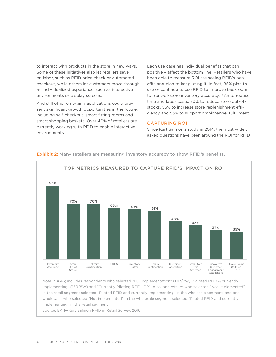to interact with products in the store in new ways. Some of these initiatives also let retailers save on labor, such as RFID price check or automated checkout, while others let customers move through an individualized experience, such as interactive environments or display screens.

And still other emerging applications could present significant growth opportunities in the future, including self-checkout, smart fitting rooms and smart shopping baskets. Over 40% of retailers are currently working with RFID to enable interactive environments.

Each use case has individual benefits that can positively affect the bottom line. Retailers who have been able to measure ROI are seeing RFID's benefits and plan to keep using it. In fact, 85% plan to use or continue to use RFID to improve backroom to front-of-store inventory accuracy, 77% to reduce time and labor costs, 70% to reduce store out-ofstocks, 55% to increase store replenishment efficiency and 53% to support omnichannel fulfillment.

## CAPTURING ROI

Since Kurt Salmon's study in 2014, the most widely asked questions have been around the ROI for RFID



Exhibit 2: Many retailers are measuring inventory accuracy to show RFID's benefits.

Note: n = 46; includes respondents who selected "Full Implementation" (13R/7W), "Piloted RFID & currently implementing" (15R/8W) and "Currently Piloting RFID" (1R). Also, one retailer who selected "Not implemented" in the retail segment selected "Piloted RFID and currently implementing" in the wholesale segment, and one wholesaler who selected "Not implemented" in the wholesale segment selected "Piloted RFID and currently implementing" in the retail segment.

Source: EKN—Kurt Salmon RFID in Retail Survey, 2016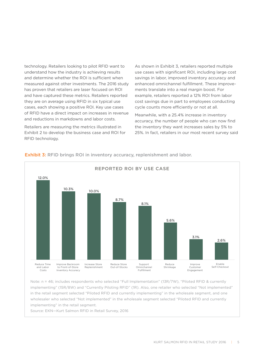technology. Retailers looking to pilot RFID want to understand how the industry is achieving results and determine whether the ROI is sufficient when measured against other investments. The 2016 study has proven that retailers are laser focused on ROI and have captured these metrics. Retailers reported they are on average using RFID in six typical use cases, each showing a positive ROI. Key use cases of RFID have a direct impact on increases in revenue and reductions in markdowns and labor costs.

Retailers are measuring the metrics illustrated in Exhibit 2 to develop the business case and ROI for RFID technology.

As shown in Exhibit 3, retailers reported multiple use cases with significant ROI, including large cost savings in labor, improved inventory accuracy and enhanced omnichannel fulfillment. These improvements translate into a real margin boost. For example, retailers reported a 12% ROI from labor cost savings due in part to employees conducting cycle counts more efficiently or not at all.

Meanwhile, with a 25.4% increase in inventory accuracy, the number of people who can now find the inventory they want increases sales by 5% to 25%. In fact, retailers in our most recent survey said



**Exhibit 3: RFID brings ROI in inventory accuracy, replenishment and labor.** 

Note: n = 46; includes respondents who selected "Full Implementation" (13R/7W), "Piloted RFID & currently implementing" (15R/8W) and "Currently Piloting RFID" (1R). Also, one retailer who selected "Not implemented" in the retail segment selected "Piloted RFID and currently implementing" in the wholesale segment, and one wholesaler who selected "Not implemented" in the wholesale segment selected "Piloted RFID and currently implementing" in the retail segment.

Source: EKN—Kurt Salmon RFID in Retail Survey, 2016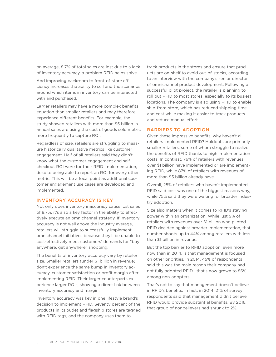on average, 8.7% of total sales are lost due to a lack of inventory accuracy, a problem RFID helps solve.

And improving backroom to front-of-store efficiency increases the ability to sell and the scenarios around which items in inventory can be interacted with and purchased.

Larger retailers may have a more complex benefits equation than smaller retailers and may therefore experience different benefits. For example, the study showed retailers with more than \$5 billion in annual sales are using the cost of goods sold metric more frequently to capture ROI.

Regardless of size, retailers are struggling to measure historically qualitative metrics like customer engagement. Half of all retailers said they didn't know what the customer engagement and selfcheckout ROI were for their RFID implementation, despite being able to report an ROI for every other metric. This will be a focal point as additional customer engagement use cases are developed and implemented.

# INVENTORY ACCURACY IS KEY

Not only does inventory inaccuracy cause lost sales of 8.7%, it's also a key factor in the ability to effectively execute an omnichannel strategy. If inventory accuracy is not well above the industry average, retailers will struggle to successfully implement omnichannel initiatives because they'll be unable to cost-effectively meet customers' demands for "buy anywhere, get anywhere" shopping.

The benefits of inventory accuracy vary by retailer size. Smaller retailers (under \$1 billion in revenue) don't experience the same bump in inventory accuracy, customer satisfaction or profit margin after implementing RFID. Their larger counterparts experience larger ROIs, showing a direct link between inventory accuracy and margin.

Inventory accuracy was key in one lifestyle brand's decision to implement RFID. Seventy percent of the products in its outlet and flagship stores are tagged with RFID tags, and the company uses them to

track products in the stores and ensure that products are on-shelf to avoid out-of-stocks, according to an interview with the company's senior director of omnichannel product development. Following a successful pilot project, the retailer is planning to roll out RFID to most stores, especially to its busiest locations. The company is also using RFID to enable ship-from-store, which has reduced shipping time and cost while making it easier to track products and reduce manual effort.

## BARRIERS TO ADOPTION

Given these impressive benefits, why haven't all retailers implemented RFID? Holdouts are primarily smaller retailers, some of whom struggle to realize the benefits of RFID thanks to high implementation costs. In contrast, 76% of retailers with revenues over \$1 billion have implemented or are implementing RFID, while 87% of retailers with revenues of more than \$5 billion already have.

Overall, 25% of retailers who haven't implemented RFID said cost was one of the biggest reasons why, while 75% said they were waiting for broader industry adoption.

Size also matters when it comes to RFID's staying power within an organization. While just 9% of retailers with revenues over \$1 billion who piloted RFID decided against broader implementation, that number shoots up to 44% among retailers with less than \$1 billion in revenue.

But the top barrier to RFID adoption, even more now than in 2014, is that management is focused on other priorities. In 2014, 45% of respondents said this was the main reason their company had not fully adopted RFID—that's now grown to 86% among non-adopters.

That's not to say that management doesn't believe in RFID's benefits. In fact, in 2014, 21% of survey respondents said that management didn't believe RFID would provide substantial benefits. By 2016, that group of nonbelievers had shrunk to 2%.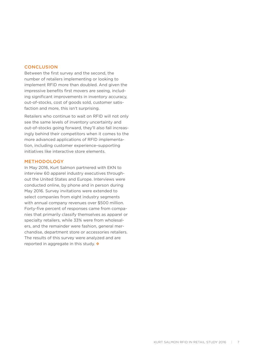# **CONCLUSION**

Between the first survey and the second, the number of retailers implementing or looking to implement RFID more than doubled. And given the impressive benefits first movers are seeing, including significant improvements in inventory accuracy, out-of-stocks, cost of goods sold, customer satisfaction and more, this isn't surprising.

Retailers who continue to wait on RFID will not only see the same levels of inventory uncertainty and out-of-stocks going forward, they'll also fall increasingly behind their competitors when it comes to the more advanced applications of RFID implementation, including customer experience–supporting initiatives like interactive store elements.

#### METHODOLOGY

In May 2016, Kurt Salmon partnered with EKN to interview 60 apparel industry executives throughout the United States and Europe. Interviews were conducted online, by phone and in person during May 2016. Survey invitations were extended to select companies from eight industry segments with annual company revenues over \$500 million. Forty-five percent of responses came from companies that primarily classify themselves as apparel or specialty retailers, while 33% were from wholesalers, and the remainder were fashion, general merchandise, department store or accessories retailers. The results of this survey were analyzed and are reported in aggregate in this study.  $\oint$